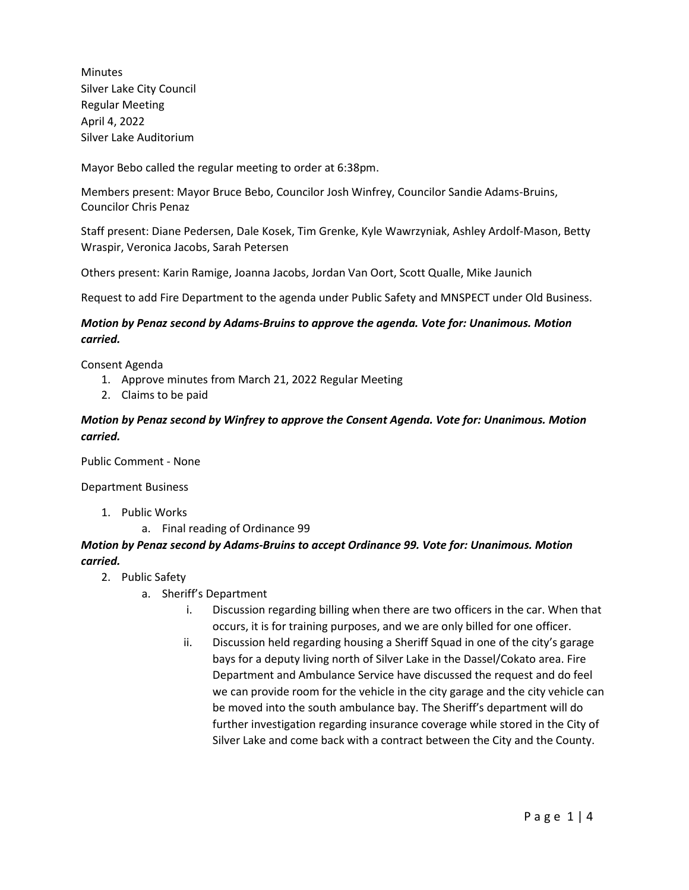**Minutes** Silver Lake City Council Regular Meeting April 4, 2022 Silver Lake Auditorium

Mayor Bebo called the regular meeting to order at 6:38pm.

Members present: Mayor Bruce Bebo, Councilor Josh Winfrey, Councilor Sandie Adams-Bruins, Councilor Chris Penaz

Staff present: Diane Pedersen, Dale Kosek, Tim Grenke, Kyle Wawrzyniak, Ashley Ardolf-Mason, Betty Wraspir, Veronica Jacobs, Sarah Petersen

Others present: Karin Ramige, Joanna Jacobs, Jordan Van Oort, Scott Qualle, Mike Jaunich

Request to add Fire Department to the agenda under Public Safety and MNSPECT under Old Business.

#### *Motion by Penaz second by Adams-Bruins to approve the agenda. Vote for: Unanimous. Motion carried.*

Consent Agenda

- 1. Approve minutes from March 21, 2022 Regular Meeting
- 2. Claims to be paid

## *Motion by Penaz second by Winfrey to approve the Consent Agenda. Vote for: Unanimous. Motion carried.*

Public Comment - None

Department Business

- 1. Public Works
	- a. Final reading of Ordinance 99

#### *Motion by Penaz second by Adams-Bruins to accept Ordinance 99. Vote for: Unanimous. Motion carried.*

- 2. Public Safety
	- a. Sheriff's Department
		- i. Discussion regarding billing when there are two officers in the car. When that occurs, it is for training purposes, and we are only billed for one officer.
		- ii. Discussion held regarding housing a Sheriff Squad in one of the city's garage bays for a deputy living north of Silver Lake in the Dassel/Cokato area. Fire Department and Ambulance Service have discussed the request and do feel we can provide room for the vehicle in the city garage and the city vehicle can be moved into the south ambulance bay. The Sheriff's department will do further investigation regarding insurance coverage while stored in the City of Silver Lake and come back with a contract between the City and the County.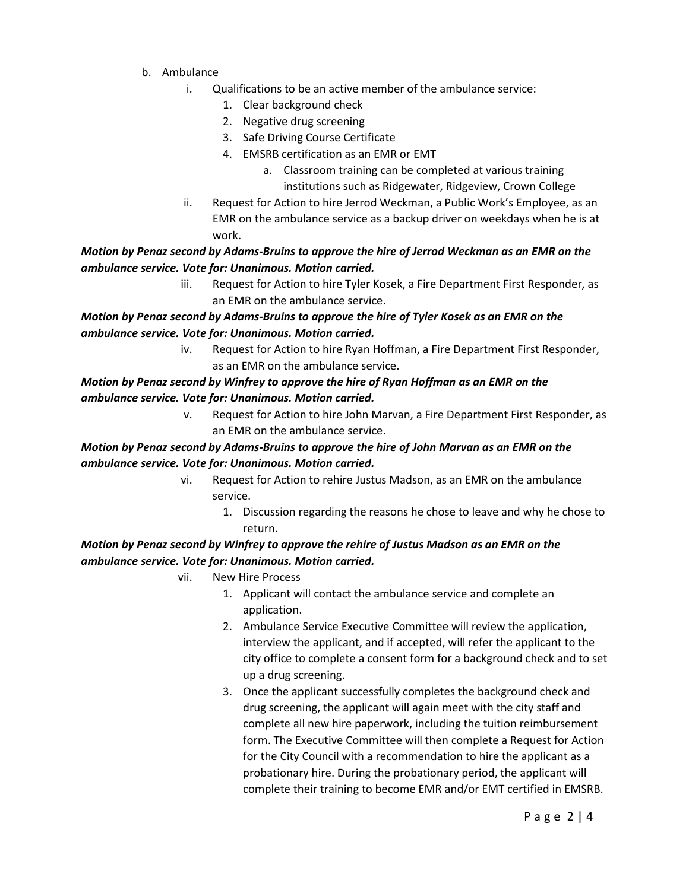- b. Ambulance
	- i. Qualifications to be an active member of the ambulance service:
		- 1. Clear background check
		- 2. Negative drug screening
		- 3. Safe Driving Course Certificate
		- 4. EMSRB certification as an EMR or EMT
			- a. Classroom training can be completed at various training institutions such as Ridgewater, Ridgeview, Crown College
	- ii. Request for Action to hire Jerrod Weckman, a Public Work's Employee, as an EMR on the ambulance service as a backup driver on weekdays when he is at work.

*Motion by Penaz second by Adams-Bruins to approve the hire of Jerrod Weckman as an EMR on the ambulance service. Vote for: Unanimous. Motion carried.*

> iii. Request for Action to hire Tyler Kosek, a Fire Department First Responder, as an EMR on the ambulance service.

## *Motion by Penaz second by Adams-Bruins to approve the hire of Tyler Kosek as an EMR on the ambulance service. Vote for: Unanimous. Motion carried.*

iv. Request for Action to hire Ryan Hoffman, a Fire Department First Responder, as an EMR on the ambulance service.

#### *Motion by Penaz second by Winfrey to approve the hire of Ryan Hoffman as an EMR on the ambulance service. Vote for: Unanimous. Motion carried.*

v. Request for Action to hire John Marvan, a Fire Department First Responder, as an EMR on the ambulance service.

# *Motion by Penaz second by Adams-Bruins to approve the hire of John Marvan as an EMR on the ambulance service. Vote for: Unanimous. Motion carried.*

- vi. Request for Action to rehire Justus Madson, as an EMR on the ambulance service.
	- 1. Discussion regarding the reasons he chose to leave and why he chose to return.

# *Motion by Penaz second by Winfrey to approve the rehire of Justus Madson as an EMR on the ambulance service. Vote for: Unanimous. Motion carried.*

- vii. New Hire Process
	- 1. Applicant will contact the ambulance service and complete an application.
	- 2. Ambulance Service Executive Committee will review the application, interview the applicant, and if accepted, will refer the applicant to the city office to complete a consent form for a background check and to set up a drug screening.
	- 3. Once the applicant successfully completes the background check and drug screening, the applicant will again meet with the city staff and complete all new hire paperwork, including the tuition reimbursement form. The Executive Committee will then complete a Request for Action for the City Council with a recommendation to hire the applicant as a probationary hire. During the probationary period, the applicant will complete their training to become EMR and/or EMT certified in EMSRB.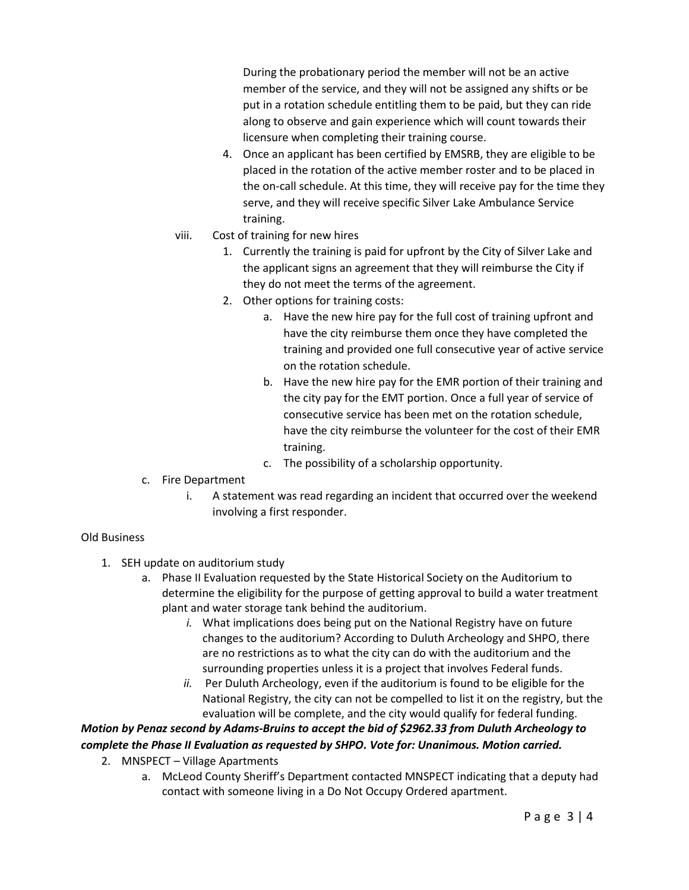During the probationary period the member will not be an active member of the service, and they will not be assigned any shifts or be put in a rotation schedule entitling them to be paid, but they can ride along to observe and gain experience which will count towards their licensure when completing their training course.

- 4. Once an applicant has been certified by EMSRB, they are eligible to be placed in the rotation of the active member roster and to be placed in the on-call schedule. At this time, they will receive pay for the time they serve, and they will receive specific Silver Lake Ambulance Service training.
- viii. Cost of training for new hires
	- 1. Currently the training is paid for upfront by the City of Silver Lake and the applicant signs an agreement that they will reimburse the City if they do not meet the terms of the agreement.
	- 2. Other options for training costs:
		- a. Have the new hire pay for the full cost of training upfront and have the city reimburse them once they have completed the training and provided one full consecutive year of active service on the rotation schedule.
		- b. Have the new hire pay for the EMR portion of their training and the city pay for the EMT portion. Once a full year of service of consecutive service has been met on the rotation schedule, have the city reimburse the volunteer for the cost of their EMR training.
		- c. The possibility of a scholarship opportunity.
- c. Fire Department
	- i. A statement was read regarding an incident that occurred over the weekend involving a first responder.

#### Old Business

- 1. SEH update on auditorium study
	- a. Phase II Evaluation requested by the State Historical Society on the Auditorium to determine the eligibility for the purpose of getting approval to build a water treatment plant and water storage tank behind the auditorium.
		- *i.* What implications does being put on the National Registry have on future changes to the auditorium? According to Duluth Archeology and SHPO, there are no restrictions as to what the city can do with the auditorium and the surrounding properties unless it is a project that involves Federal funds.
		- *ii.* Per Duluth Archeology, even if the auditorium is found to be eligible for the National Registry, the city can not be compelled to list it on the registry, but the evaluation will be complete, and the city would qualify for federal funding.

# *Motion by Penaz second by Adams-Bruins to accept the bid of \$2962.33 from Duluth Archeology to complete the Phase II Evaluation as requested by SHPO. Vote for: Unanimous. Motion carried.*

- 2. MNSPECT Village Apartments
	- a. McLeod County Sheriff's Department contacted MNSPECT indicating that a deputy had contact with someone living in a Do Not Occupy Ordered apartment.